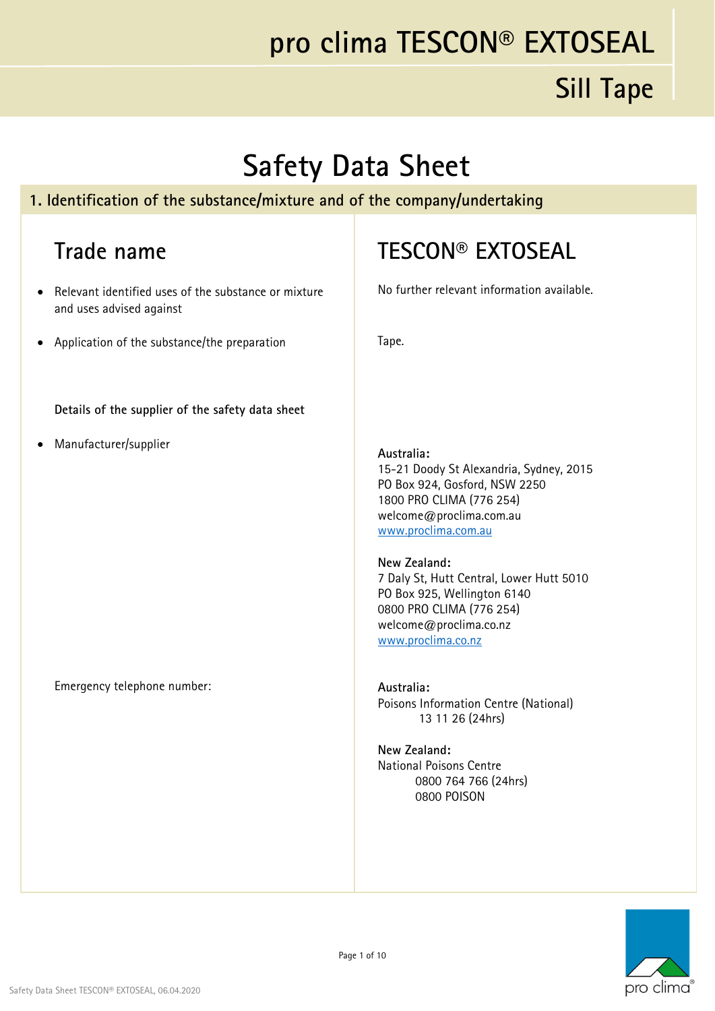#### **Sill Tape**

#### **Safety Data Sheet**

#### **1. Identification of the substance/mixture and of the company/undertaking**

#### **Trade name**

- Relevant identified uses of the substance or mixture and uses advised against
- Application of the substance/the preparation

**Details of the supplier of the safety data sheet**

Manufacturer/supplier

Emergency telephone number:

#### **TESCON® EXTOSEAL**

No further relevant information available.

Tape.

#### **Australia:**

15-21 Doody St Alexandria, Sydney, 2015 PO Box 924, Gosford, NSW 2250 1800 PRO CLIMA (776 254) welcome@proclima.com.au www.proclima.com.au

#### **New Zealand:**

7 Daly St, Hutt Central, Lower Hutt 5010 PO Box 925, Wellington 6140 0800 PRO CLIMA (776 254) welcome@proclima.co.nz www.proclima.co.nz

#### **Australia:**  Poisons Information Centre (National) 13 11 26 (24hrs)

**New Zealand:**  National Poisons Centre 0800 764 766 (24hrs) 0800 POISON

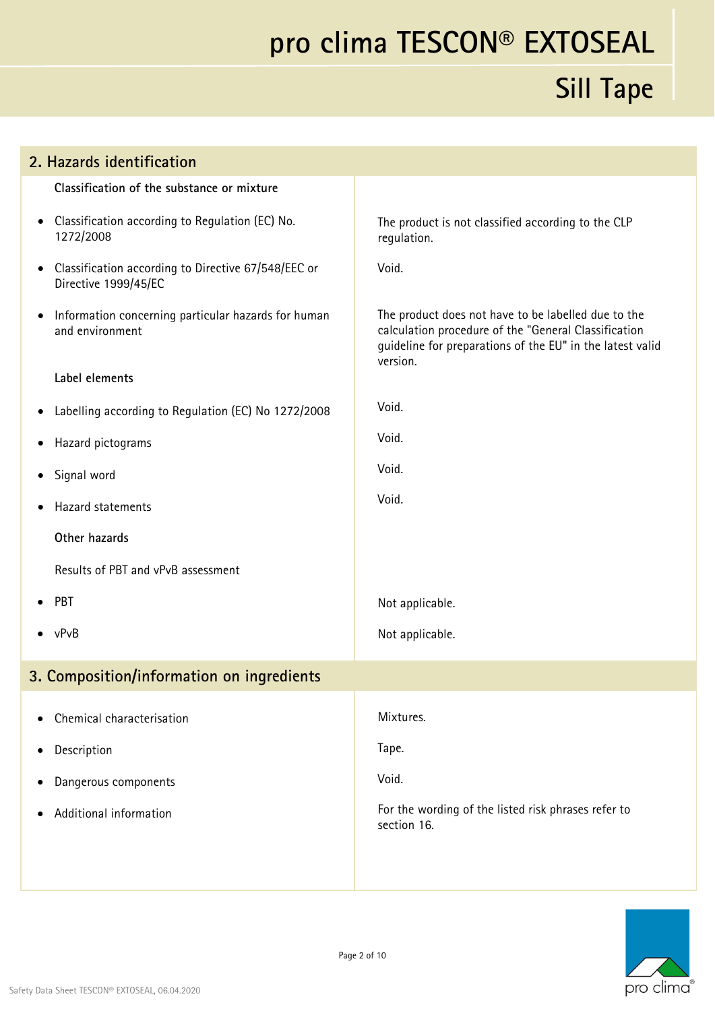| 2. Hazards identification                                                                |                                                                                                                                                                                      |
|------------------------------------------------------------------------------------------|--------------------------------------------------------------------------------------------------------------------------------------------------------------------------------------|
| Classification of the substance or mixture                                               |                                                                                                                                                                                      |
| Classification according to Regulation (EC) No.<br>$\bullet$<br>1272/2008                | The product is not classified according to the CLP<br>regulation.                                                                                                                    |
| Classification according to Directive 67/548/EEC or<br>$\bullet$<br>Directive 1999/45/EC | Void.                                                                                                                                                                                |
| Information concerning particular hazards for human<br>$\bullet$<br>and environment      | The product does not have to be labelled due to the<br>calculation procedure of the "General Classification<br>guideline for preparations of the EU" in the latest valid<br>version. |
| Label elements                                                                           |                                                                                                                                                                                      |
| Labelling according to Regulation (EC) No 1272/2008<br>$\bullet$                         | Void.                                                                                                                                                                                |
| Hazard pictograms<br>٠                                                                   | Void.                                                                                                                                                                                |
| Signal word<br>$\bullet$                                                                 | Void.                                                                                                                                                                                |
| Hazard statements                                                                        | Void.                                                                                                                                                                                |
| Other hazards                                                                            |                                                                                                                                                                                      |
| Results of PBT and vPvB assessment                                                       |                                                                                                                                                                                      |
| PBT                                                                                      | Not applicable.                                                                                                                                                                      |
| $\bullet$ vPvB                                                                           | Not applicable.                                                                                                                                                                      |
| 3. Composition/information on ingredients                                                |                                                                                                                                                                                      |
| Chemical characterisation                                                                | Mixtures.                                                                                                                                                                            |
| Description<br>٠                                                                         | Tape.                                                                                                                                                                                |
| Dangerous components                                                                     | Void.                                                                                                                                                                                |
| Additional information                                                                   | For the wording of the listed risk phrases refer to<br>section 16.                                                                                                                   |
|                                                                                          |                                                                                                                                                                                      |

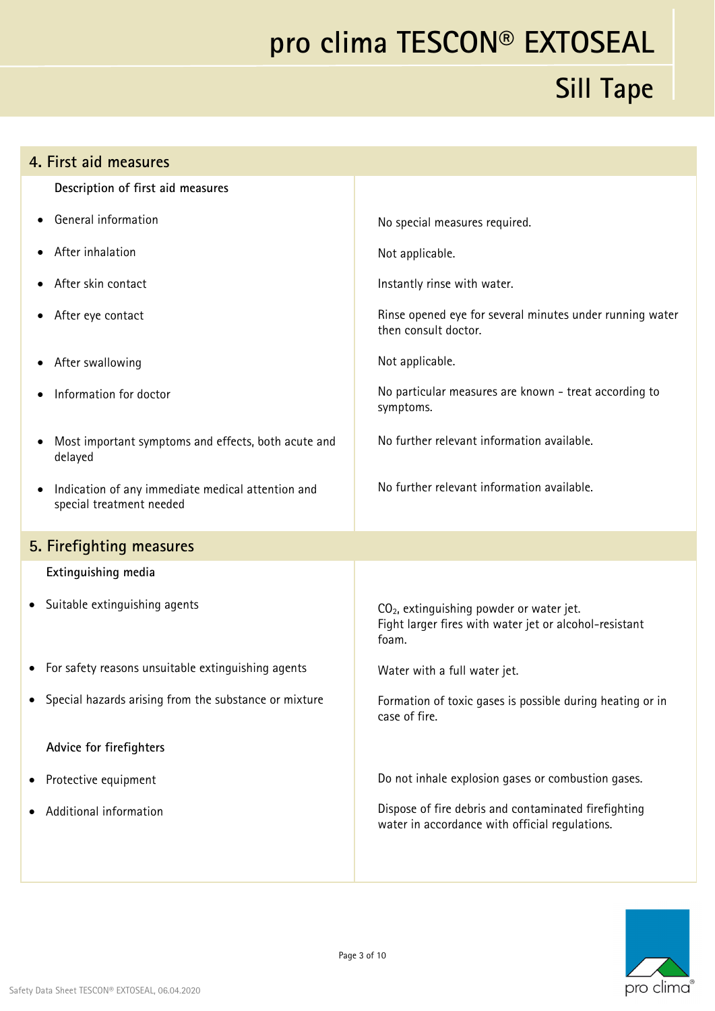| 4. First aid measures                                                                      |                                                                                                                         |
|--------------------------------------------------------------------------------------------|-------------------------------------------------------------------------------------------------------------------------|
| Description of first aid measures                                                          |                                                                                                                         |
| General information                                                                        | No special measures required.                                                                                           |
| After inhalation                                                                           | Not applicable.                                                                                                         |
| After skin contact                                                                         | Instantly rinse with water.                                                                                             |
| After eye contact                                                                          | Rinse opened eye for several minutes under running water<br>then consult doctor.                                        |
| After swallowing                                                                           | Not applicable.                                                                                                         |
| Information for doctor                                                                     | No particular measures are known - treat according to<br>symptoms.                                                      |
| Most important symptoms and effects, both acute and<br>delayed                             | No further relevant information available.                                                                              |
| Indication of any immediate medical attention and<br>$\bullet$<br>special treatment needed | No further relevant information available.                                                                              |
| 5. Firefighting measures                                                                   |                                                                                                                         |
| Extinguishing media                                                                        |                                                                                                                         |
| Suitable extinguishing agents<br>٠                                                         | CO <sub>2</sub> , extinguishing powder or water jet.<br>Fight larger fires with water jet or alcohol-resistant<br>foam. |
| For safety reasons unsuitable extinguishing agents<br>٠                                    | Water with a full water jet.                                                                                            |
| Special hazards arising from the substance or mixture                                      | Formation of toxic gases is possible during heating or in<br>case of fire.                                              |
| Advice for firefighters                                                                    |                                                                                                                         |
| Protective equipment                                                                       | Do not inhale explosion gases or combustion gases.                                                                      |
| Additional information                                                                     | Dispose of fire debris and contaminated firefighting<br>water in accordance with official regulations.                  |
|                                                                                            |                                                                                                                         |

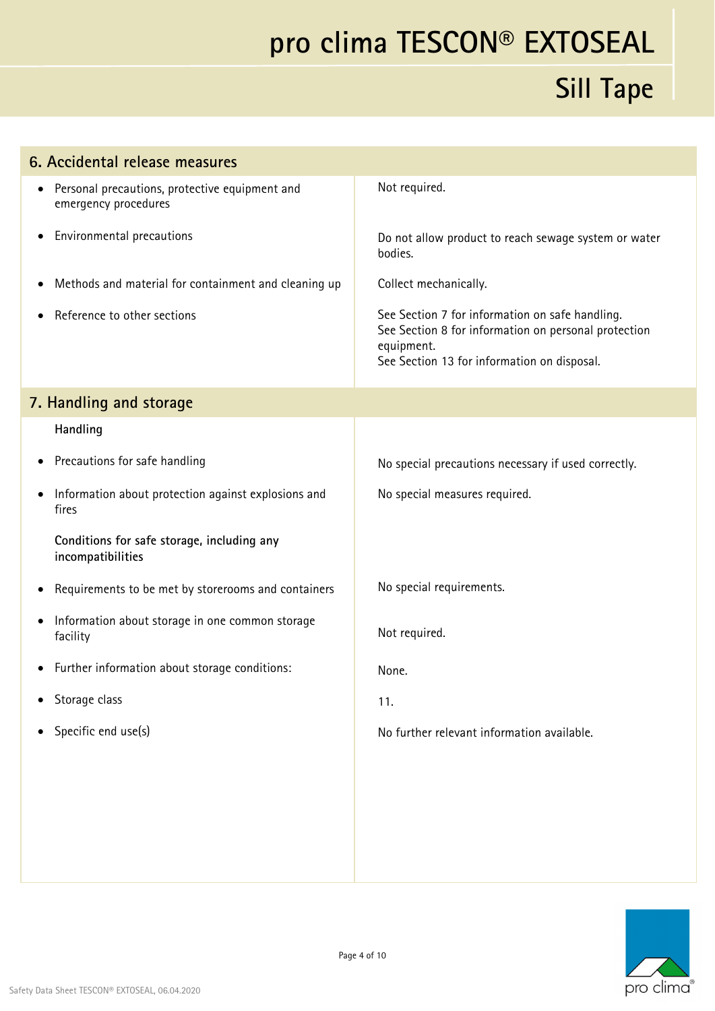| 6. Accidental release measures                                                      |                                                                                                                                                                      |  |
|-------------------------------------------------------------------------------------|----------------------------------------------------------------------------------------------------------------------------------------------------------------------|--|
| Personal precautions, protective equipment and<br>$\bullet$<br>emergency procedures | Not required.                                                                                                                                                        |  |
| Environmental precautions                                                           | Do not allow product to reach sewage system or water<br>bodies.                                                                                                      |  |
| Methods and material for containment and cleaning up<br>$\bullet$                   | Collect mechanically.                                                                                                                                                |  |
| Reference to other sections                                                         | See Section 7 for information on safe handling.<br>See Section 8 for information on personal protection<br>equipment.<br>See Section 13 for information on disposal. |  |
| 7. Handling and storage                                                             |                                                                                                                                                                      |  |
| Handling                                                                            |                                                                                                                                                                      |  |
| Precautions for safe handling<br>$\bullet$                                          | No special precautions necessary if used correctly.                                                                                                                  |  |
| Information about protection against explosions and<br>$\bullet$<br>fires           | No special measures required.                                                                                                                                        |  |
| Conditions for safe storage, including any<br>incompatibilities                     |                                                                                                                                                                      |  |
| Requirements to be met by storerooms and containers<br>$\bullet$                    | No special requirements.                                                                                                                                             |  |
| Information about storage in one common storage<br>$\bullet$<br>facility            | Not required.                                                                                                                                                        |  |
| Further information about storage conditions:                                       | None.                                                                                                                                                                |  |
| Storage class<br>$\bullet$                                                          | 11.                                                                                                                                                                  |  |
| Specific end use(s)<br>$\bullet$                                                    | No further relevant information available.                                                                                                                           |  |
|                                                                                     |                                                                                                                                                                      |  |
|                                                                                     |                                                                                                                                                                      |  |
|                                                                                     |                                                                                                                                                                      |  |
|                                                                                     |                                                                                                                                                                      |  |

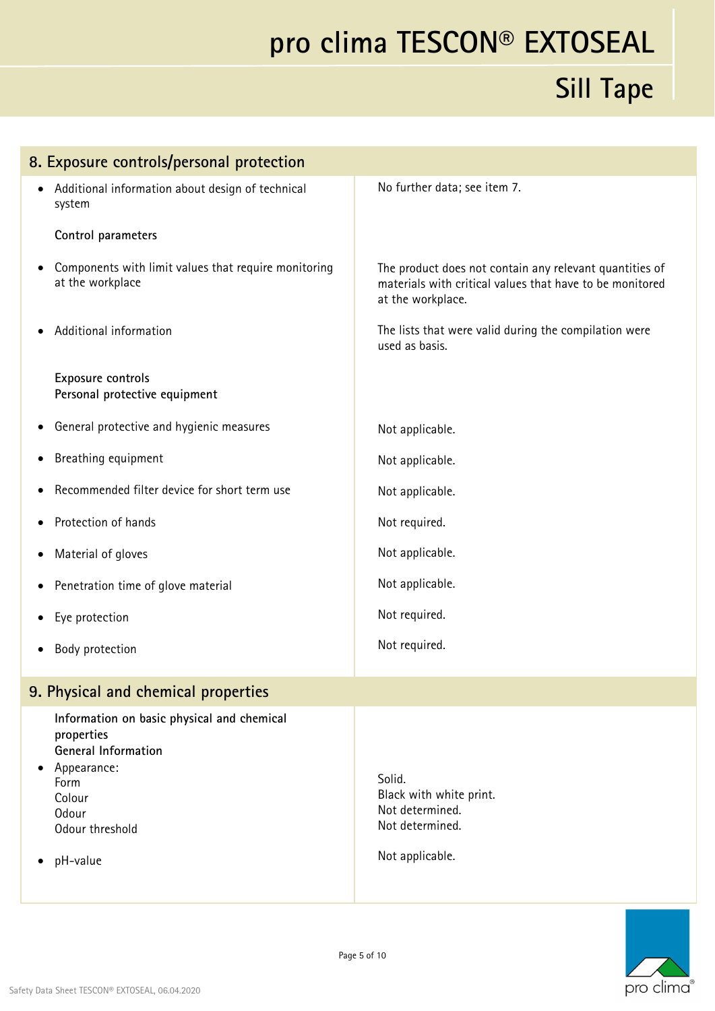| 8. Exposure controls/personal protection                                                                                                                        |                                                                                                                                          |
|-----------------------------------------------------------------------------------------------------------------------------------------------------------------|------------------------------------------------------------------------------------------------------------------------------------------|
| Additional information about design of technical<br>system                                                                                                      | No further data; see item 7.                                                                                                             |
| Control parameters                                                                                                                                              |                                                                                                                                          |
| Components with limit values that require monitoring<br>at the workplace                                                                                        | The product does not contain any relevant quantities of<br>materials with critical values that have to be monitored<br>at the workplace. |
| Additional information                                                                                                                                          | The lists that were valid during the compilation were<br>used as basis.                                                                  |
| Exposure controls<br>Personal protective equipment                                                                                                              |                                                                                                                                          |
| General protective and hygienic measures                                                                                                                        | Not applicable.                                                                                                                          |
| Breathing equipment                                                                                                                                             | Not applicable.                                                                                                                          |
| Recommended filter device for short term use                                                                                                                    | Not applicable.                                                                                                                          |
| Protection of hands                                                                                                                                             | Not required.                                                                                                                            |
| Material of gloves                                                                                                                                              | Not applicable.                                                                                                                          |
| Penetration time of glove material                                                                                                                              | Not applicable.                                                                                                                          |
| Eye protection                                                                                                                                                  | Not required.                                                                                                                            |
| Body protection                                                                                                                                                 | Not required.                                                                                                                            |
| 9. Physical and chemical properties                                                                                                                             |                                                                                                                                          |
| Information on basic physical and chemical<br>properties<br><b>General Information</b><br>Appearance:<br>Form<br>Colour<br>Odour<br>Odour threshold<br>pH-value | Solid.<br>Black with white print.<br>Not determined.<br>Not determined.<br>Not applicable.                                               |
|                                                                                                                                                                 |                                                                                                                                          |

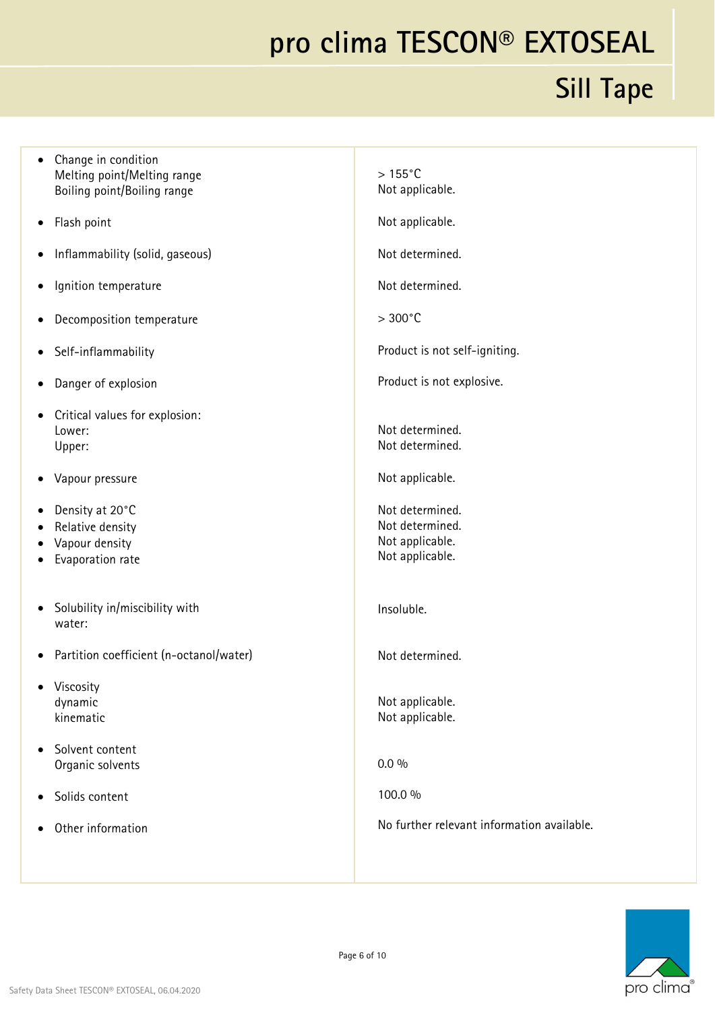#### **Sill Tape**

|           | Melting point/Melting range<br>Boiling point/Boiling range                | $>155^{\circ}$ C<br>Not applicable.                                      |
|-----------|---------------------------------------------------------------------------|--------------------------------------------------------------------------|
| ٠         | Flash point                                                               | Not applicable.                                                          |
|           | Inflammability (solid, gaseous)                                           | Not determined.                                                          |
| $\bullet$ | Ignition temperature                                                      | Not determined.                                                          |
|           | Decomposition temperature                                                 | $>300^{\circ}$ C                                                         |
|           | Self-inflammability                                                       | Product is not self-igniting.                                            |
| ٠         | Danger of explosion                                                       | Product is not explosive.                                                |
| $\bullet$ | Critical values for explosion:<br>Lower:<br>Upper:                        | Not determined.<br>Not determined.                                       |
| ٠         | Vapour pressure                                                           | Not applicable.                                                          |
| $\bullet$ | Density at 20°C<br>Relative density<br>Vapour density<br>Evaporation rate | Not determined.<br>Not determined.<br>Not applicable.<br>Not applicable. |
| $\bullet$ | Solubility in/miscibility with<br>water:                                  | Insoluble.                                                               |
|           | Partition coefficient (n-octanol/water)                                   | Not determined.                                                          |
|           | Viscosity<br>dynamic<br>kinematic                                         | Not applicable.<br>Not applicable.                                       |
|           | Solvent content<br>Organic solvents                                       | $0.0\%$                                                                  |
| $\bullet$ | Solids content                                                            | 100.0 %                                                                  |
|           | Other information                                                         | No further relevant information available.                               |
|           |                                                                           |                                                                          |



• Change in condition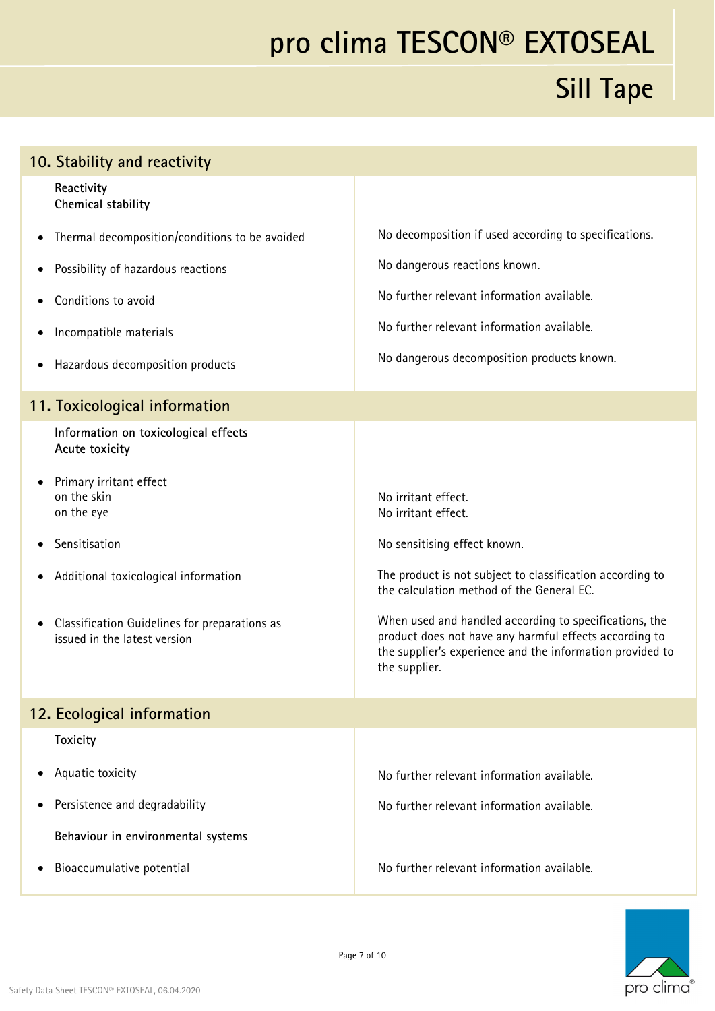# **pro clima TESCON® EXTOSEAL Sill Tape**

| 10. Stability and reactivity                                                       |                                                                                                                                                                                                |
|------------------------------------------------------------------------------------|------------------------------------------------------------------------------------------------------------------------------------------------------------------------------------------------|
| Reactivity<br>Chemical stability                                                   |                                                                                                                                                                                                |
| Thermal decomposition/conditions to be avoided<br>٠                                | No decomposition if used according to specifications.                                                                                                                                          |
| Possibility of hazardous reactions                                                 | No dangerous reactions known.                                                                                                                                                                  |
| Conditions to avoid                                                                | No further relevant information available.                                                                                                                                                     |
| Incompatible materials                                                             | No further relevant information available.                                                                                                                                                     |
| Hazardous decomposition products                                                   | No dangerous decomposition products known.                                                                                                                                                     |
| 11. Toxicological information                                                      |                                                                                                                                                                                                |
| Information on toxicological effects<br>Acute toxicity                             |                                                                                                                                                                                                |
| Primary irritant effect<br>on the skin<br>on the eye                               | No irritant effect.<br>No irritant effect.                                                                                                                                                     |
| Sensitisation                                                                      | No sensitising effect known.                                                                                                                                                                   |
| Additional toxicological information                                               | The product is not subject to classification according to<br>the calculation method of the General EC.                                                                                         |
| Classification Guidelines for preparations as<br>٠<br>issued in the latest version | When used and handled according to specifications, the<br>product does not have any harmful effects according to<br>the supplier's experience and the information provided to<br>the supplier. |
| 12. Ecological information                                                         |                                                                                                                                                                                                |
| <b>Toxicity</b>                                                                    |                                                                                                                                                                                                |
| Aquatic toxicity                                                                   | No further relevant information available.                                                                                                                                                     |
| Persistence and degradability                                                      | No further relevant information available.                                                                                                                                                     |
| Behaviour in environmental systems                                                 |                                                                                                                                                                                                |
| Bioaccumulative potential                                                          | No further relevant information available.                                                                                                                                                     |

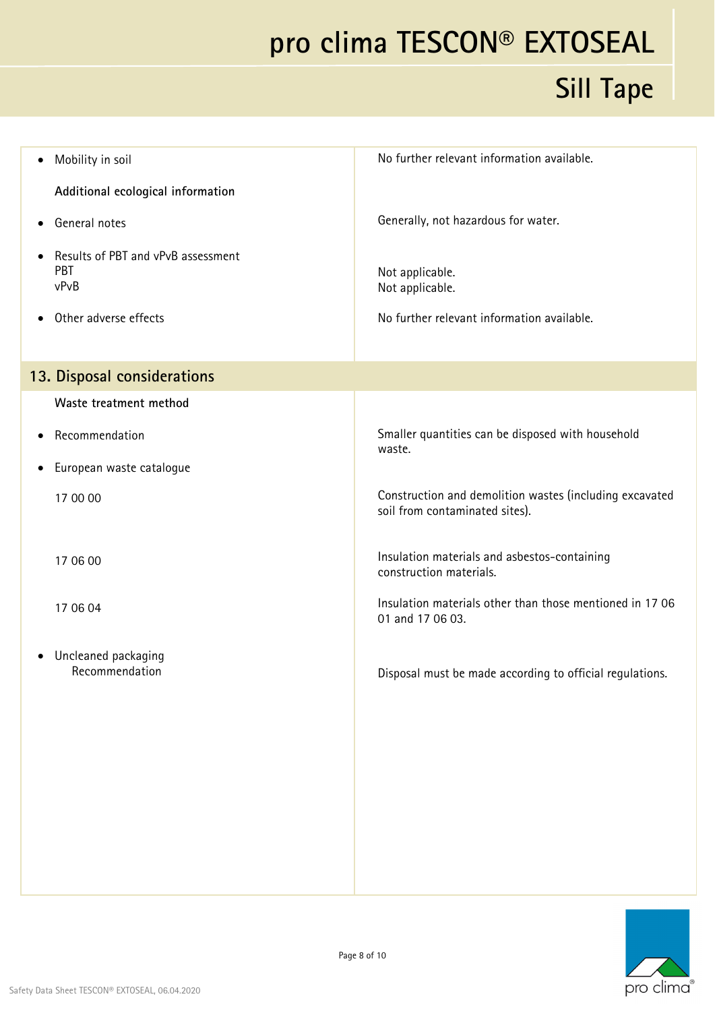| Mobility in soil<br>$\bullet$                                  | No further relevant information available.                                                |
|----------------------------------------------------------------|-------------------------------------------------------------------------------------------|
| Additional ecological information                              |                                                                                           |
| General notes<br>$\bullet$                                     | Generally, not hazardous for water.                                                       |
| Results of PBT and vPvB assessment<br>$\bullet$<br>PBT<br>vPvB | Not applicable.<br>Not applicable.                                                        |
| Other adverse effects<br>$\bullet$                             | No further relevant information available.                                                |
| 13. Disposal considerations                                    |                                                                                           |
| Waste treatment method                                         |                                                                                           |
| Recommendation<br>$\bullet$                                    | Smaller quantities can be disposed with household<br>waste.                               |
| European waste catalogue<br>$\bullet$                          |                                                                                           |
| 17 00 00                                                       | Construction and demolition wastes (including excavated<br>soil from contaminated sites). |
| 17 06 00                                                       | Insulation materials and asbestos-containing<br>construction materials.                   |
| 17 06 04                                                       | Insulation materials other than those mentioned in 17 06<br>01 and 17 06 03.              |
| Uncleaned packaging<br>$\bullet$<br>Recommendation             | Disposal must be made according to official regulations.                                  |
|                                                                |                                                                                           |

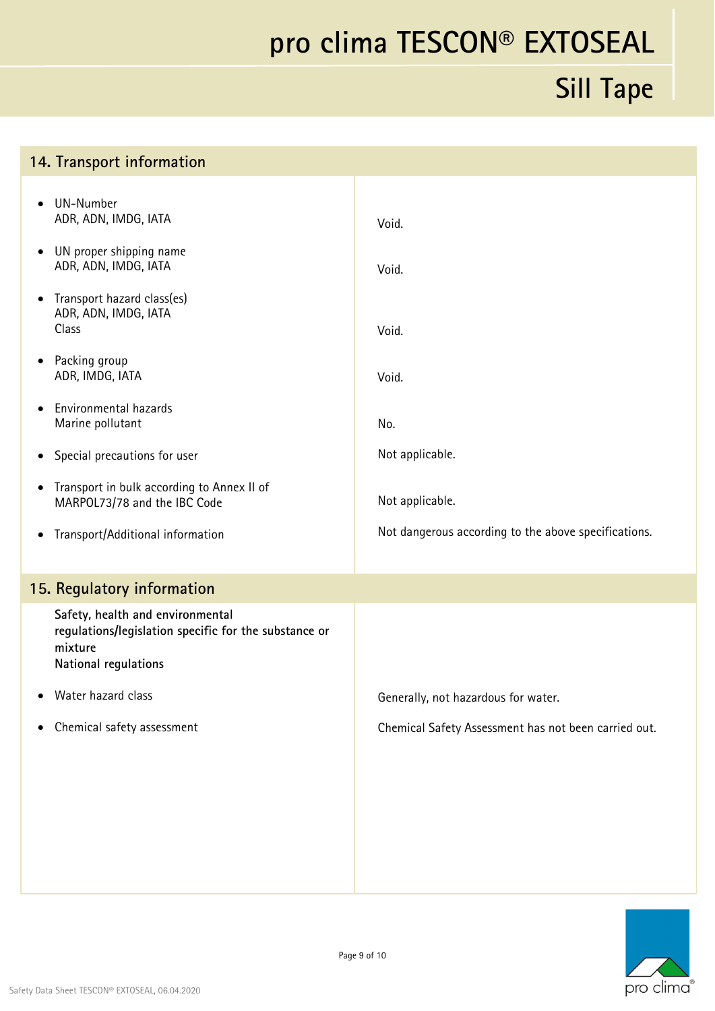#### **Sill Tape**

#### **14. Transport information**

| UN-Number<br>ADR, ADN, IMDG, IATA                                                                                            | Void.                                                |
|------------------------------------------------------------------------------------------------------------------------------|------------------------------------------------------|
| UN proper shipping name<br>ADR, ADN, IMDG, IATA                                                                              | Void.                                                |
| Transport hazard class(es)<br>٠<br>ADR, ADN, IMDG, IATA<br>Class                                                             | Void.                                                |
| Packing group<br>$\bullet$<br>ADR, IMDG, IATA                                                                                | Void.                                                |
| Environmental hazards<br>Marine pollutant                                                                                    | No.                                                  |
| Special precautions for user<br>$\bullet$                                                                                    | Not applicable.                                      |
| Transport in bulk according to Annex II of<br>$\bullet$<br>MARPOL73/78 and the IBC Code                                      | Not applicable.                                      |
| Transport/Additional information<br>$\bullet$                                                                                | Not dangerous according to the above specifications. |
| 15. Regulatory information                                                                                                   |                                                      |
| Safety, health and environmental<br>regulations/legislation specific for the substance or<br>mixture<br>National regulations |                                                      |
| Water hazard class                                                                                                           | Generally, not hazardous for water.                  |
| Chemical safety assessment                                                                                                   | Chemical Safety Assessment has not been carried out. |
|                                                                                                                              |                                                      |